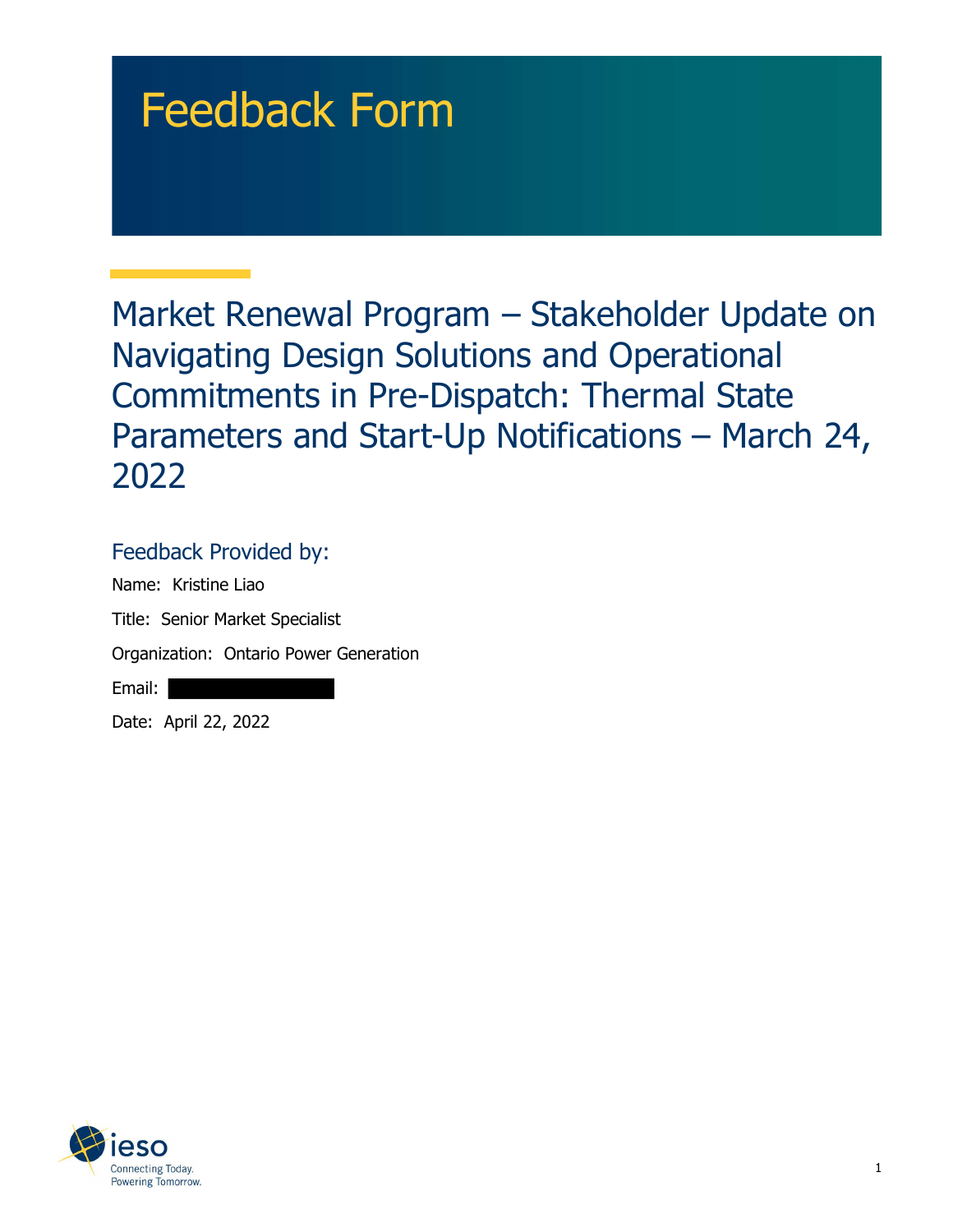# Feedback Form

 Market Renewal Program – Stakeholder Update on Navigating Design Solutions and Operational Commitments in Pre-Dispatch: Thermal State Parameters and Start-Up Notifications – March 24, 2022

## Feedback Provided by:

 Name: Kristine Liao Title: Senior Market Specialist Organization: Ontario Power Generation

Email:

Date: April 22, 2022

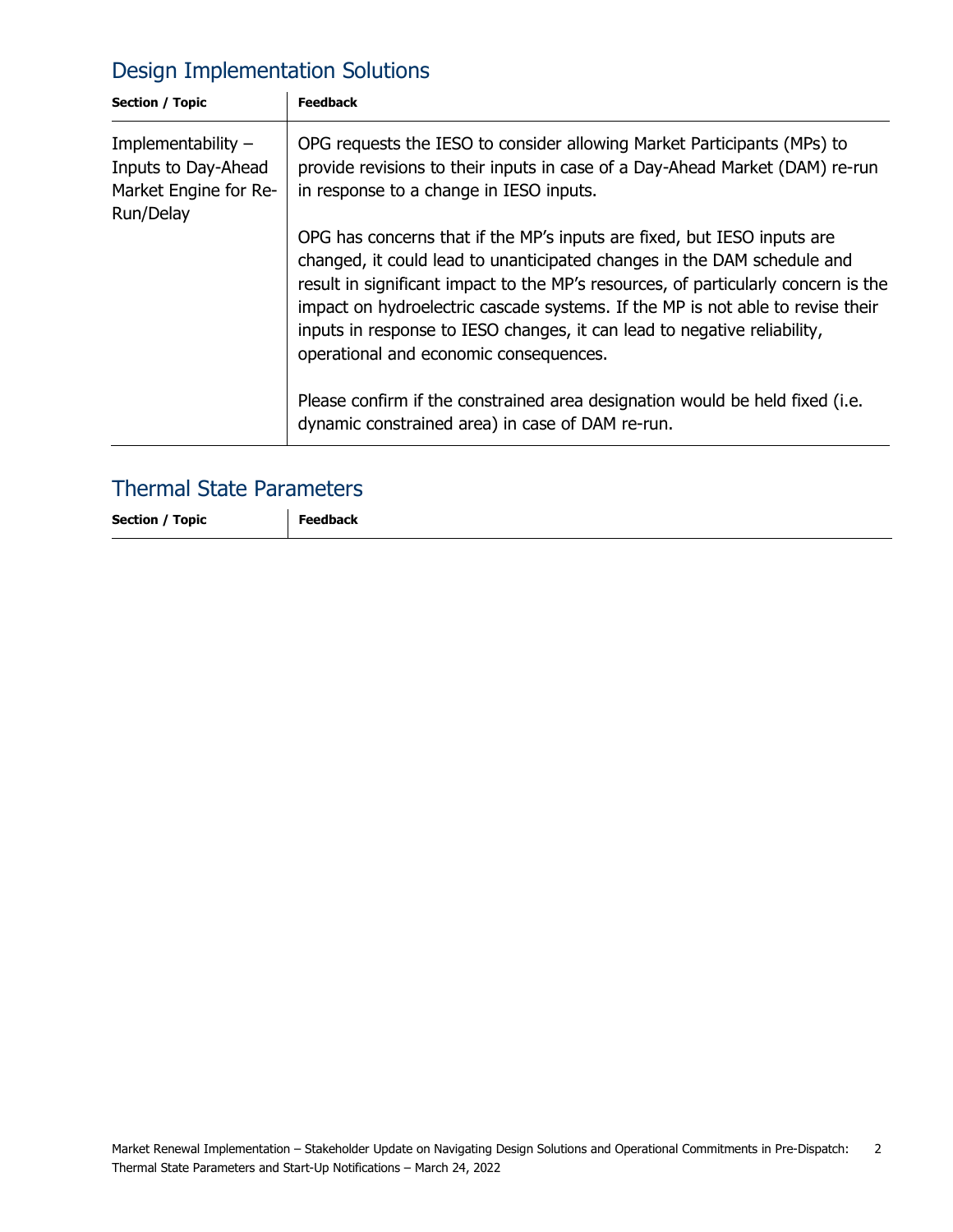# Design Implementation Solutions

| Section / Topic                                                                   | <b>Feedback</b>                                                                                                                                                                                                                                                                                                                                                                                                                                  |
|-----------------------------------------------------------------------------------|--------------------------------------------------------------------------------------------------------------------------------------------------------------------------------------------------------------------------------------------------------------------------------------------------------------------------------------------------------------------------------------------------------------------------------------------------|
| Implementability $-$<br>Inputs to Day-Ahead<br>Market Engine for Re-<br>Run/Delay | OPG requests the IESO to consider allowing Market Participants (MPs) to<br>provide revisions to their inputs in case of a Day-Ahead Market (DAM) re-run<br>in response to a change in IESO inputs.                                                                                                                                                                                                                                               |
|                                                                                   | OPG has concerns that if the MP's inputs are fixed, but IESO inputs are<br>changed, it could lead to unanticipated changes in the DAM schedule and<br>result in significant impact to the MP's resources, of particularly concern is the<br>impact on hydroelectric cascade systems. If the MP is not able to revise their<br>inputs in response to IESO changes, it can lead to negative reliability,<br>operational and economic consequences. |
|                                                                                   | Please confirm if the constrained area designation would be held fixed (i.e.<br>dynamic constrained area) in case of DAM re-run.                                                                                                                                                                                                                                                                                                                 |

#### Thermal State Parameters

Section / Topic | Feedback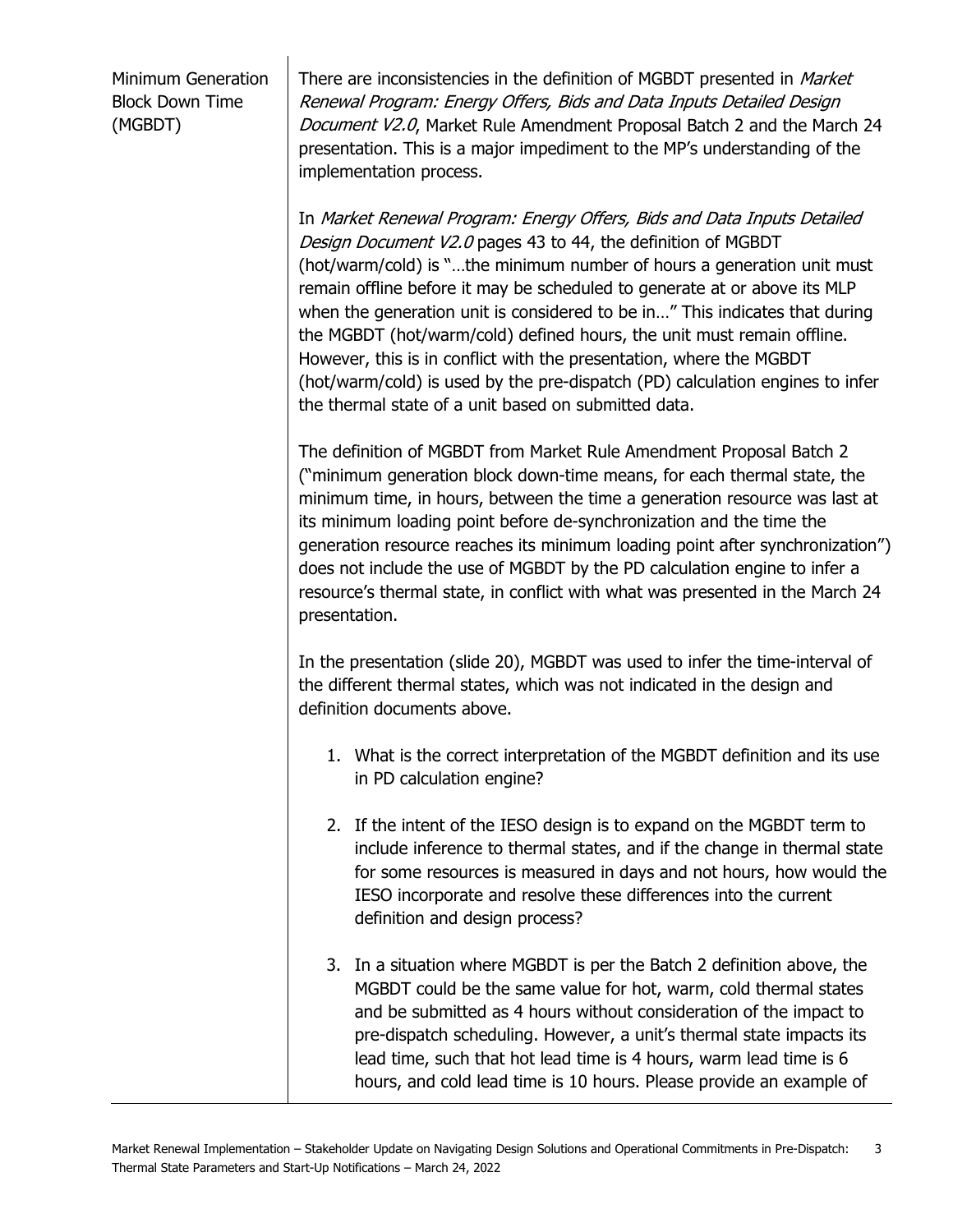Minimum Generation Block Down Time (MGBDT)

There are inconsistencies in the definition of MGBDT presented in *Market*  Renewal Program: Energy Offers, Bids and Data Inputs Detailed Design Document V2.0, Market Rule Amendment Proposal Batch 2 and the March 24 presentation. This is a major impediment to the MP's understanding of the implementation process.

 In Market Renewal Program: Energy Offers, Bids and Data Inputs Detailed Design Document V2.0 pages 43 to 44, the definition of MGBDT (hot/warm/cold) is "…the minimum number of hours a generation unit must remain offline before it may be scheduled to generate at or above its MLP when the generation unit is considered to be in…" This indicates that during the MGBDT (hot/warm/cold) defined hours, the unit must remain offline. However, this is in conflict with the presentation, where the MGBDT (hot/warm/cold) is used by the pre-dispatch (PD) calculation engines to infer the thermal state of a unit based on submitted data.

 The definition of MGBDT from Market Rule Amendment Proposal Batch 2 ("minimum generation block down-time means, for each thermal state, the minimum time, in hours, between the time a generation resource was last at its minimum loading point before de-synchronization and the time the generation resource reaches its minimum loading point after synchronization") does not include the use of MGBDT by the PD calculation engine to infer a resource's thermal state, in conflict with what was presented in the March 24 presentation.

 In the presentation (slide 20), MGBDT was used to infer the time-interval of the different thermal states, which was not indicated in the design and definition documents above.

- 1. What is the correct interpretation of the MGBDT definition and its use in PD calculation engine?
- 2. If the intent of the IESO design is to expand on the MGBDT term to include inference to thermal states, and if the change in thermal state for some resources is measured in days and not hours, how would the IESO incorporate and resolve these differences into the current definition and design process?
- 3. In a situation where MGBDT is per the Batch 2 definition above, the MGBDT could be the same value for hot, warm, cold thermal states and be submitted as 4 hours without consideration of the impact to pre-dispatch scheduling. However, a unit's thermal state impacts its lead time, such that hot lead time is 4 hours, warm lead time is 6 hours, and cold lead time is 10 hours. Please provide an example of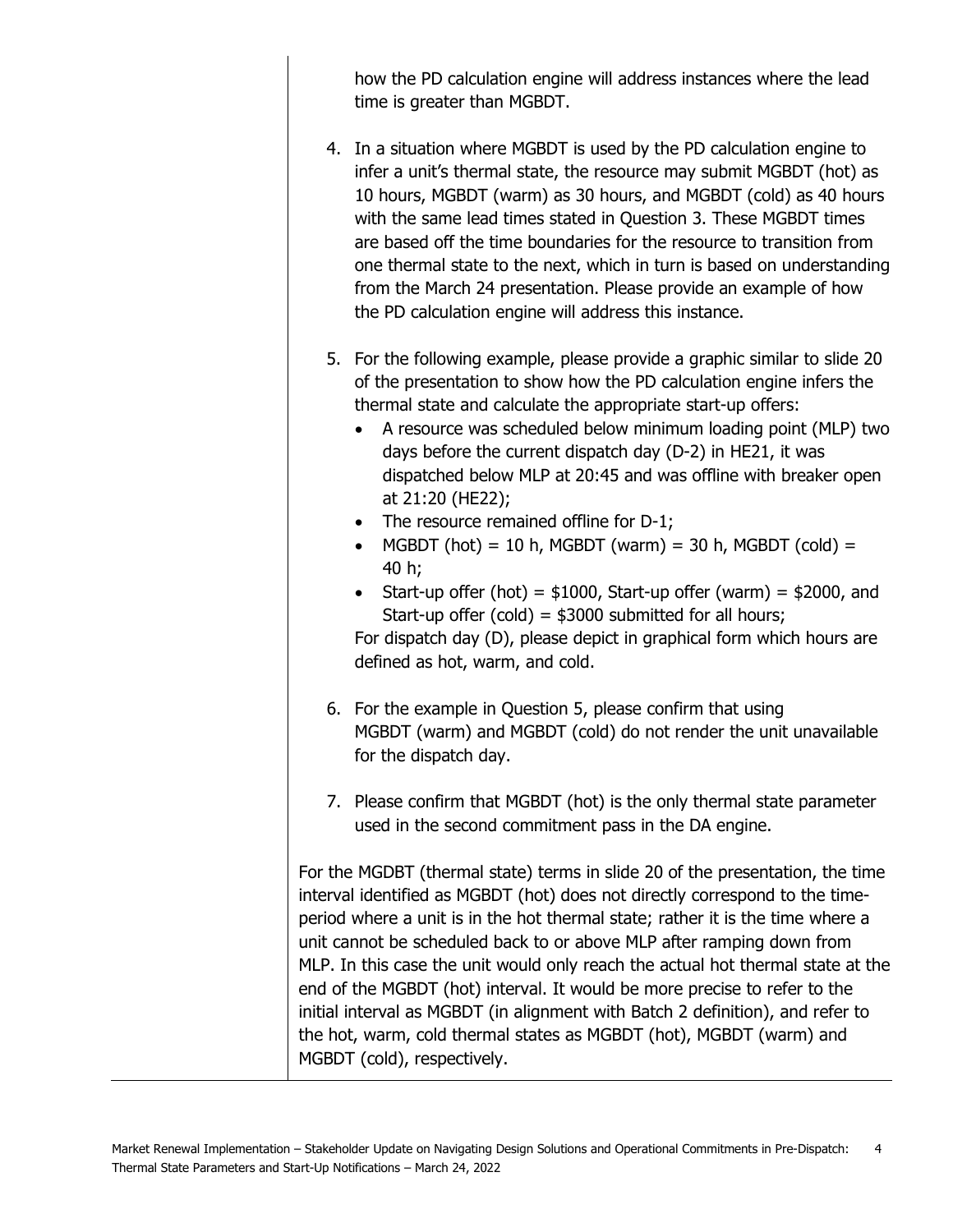how the PD calculation engine will address instances where the lead time is greater than MGBDT.

- 4. In a situation where MGBDT is used by the PD calculation engine to infer a unit's thermal state, the resource may submit MGBDT (hot) as 10 hours, MGBDT (warm) as 30 hours, and MGBDT (cold) as 40 hours with the same lead times stated in Question 3. These MGBDT times are based off the time boundaries for the resource to transition from one thermal state to the next, which in turn is based on understanding from the March 24 presentation. Please provide an example of how the PD calculation engine will address this instance.
- 5. For the following example, please provide a graphic similar to slide 20 of the presentation to show how the PD calculation engine infers the thermal state and calculate the appropriate start-up offers:
	- A resource was scheduled below minimum loading point (MLP) two days before the current dispatch day (D-2) in HE21, it was dispatched below MLP at 20:45 and was offline with breaker open at 21:20 (HE22);
	- The resource remained offline for D-1;
	- MGBDT (hot) = 10 h, MGBDT (warm) = 30 h, MGBDT (cold) = 40 h;
	- Start-up offer (hot) =  $$1000$ , Start-up offer (warm) =  $$2000$ , and Start-up offer (cold) = \$3000 submitted for all hours;

 For dispatch day (D), please depict in graphical form which hours are defined as hot, warm, and cold.

- 6. For the example in Question 5, please confirm that using MGBDT (warm) and MGBDT (cold) do not render the unit unavailable for the dispatch day.
- 7. Please confirm that MGBDT (hot) is the only thermal state parameter used in the second commitment pass in the DA engine.

 For the MGDBT (thermal state) terms in slide 20 of the presentation, the time interval identified as MGBDT (hot) does not directly correspond to the time- period where a unit is in the hot thermal state; rather it is the time where a unit cannot be scheduled back to or above MLP after ramping down from MLP. In this case the unit would only reach the actual hot thermal state at the end of the MGBDT (hot) interval. It would be more precise to refer to the initial interval as MGBDT (in alignment with Batch 2 definition), and refer to the hot, warm, cold thermal states as MGBDT (hot), MGBDT (warm) and MGBDT (cold), respectively.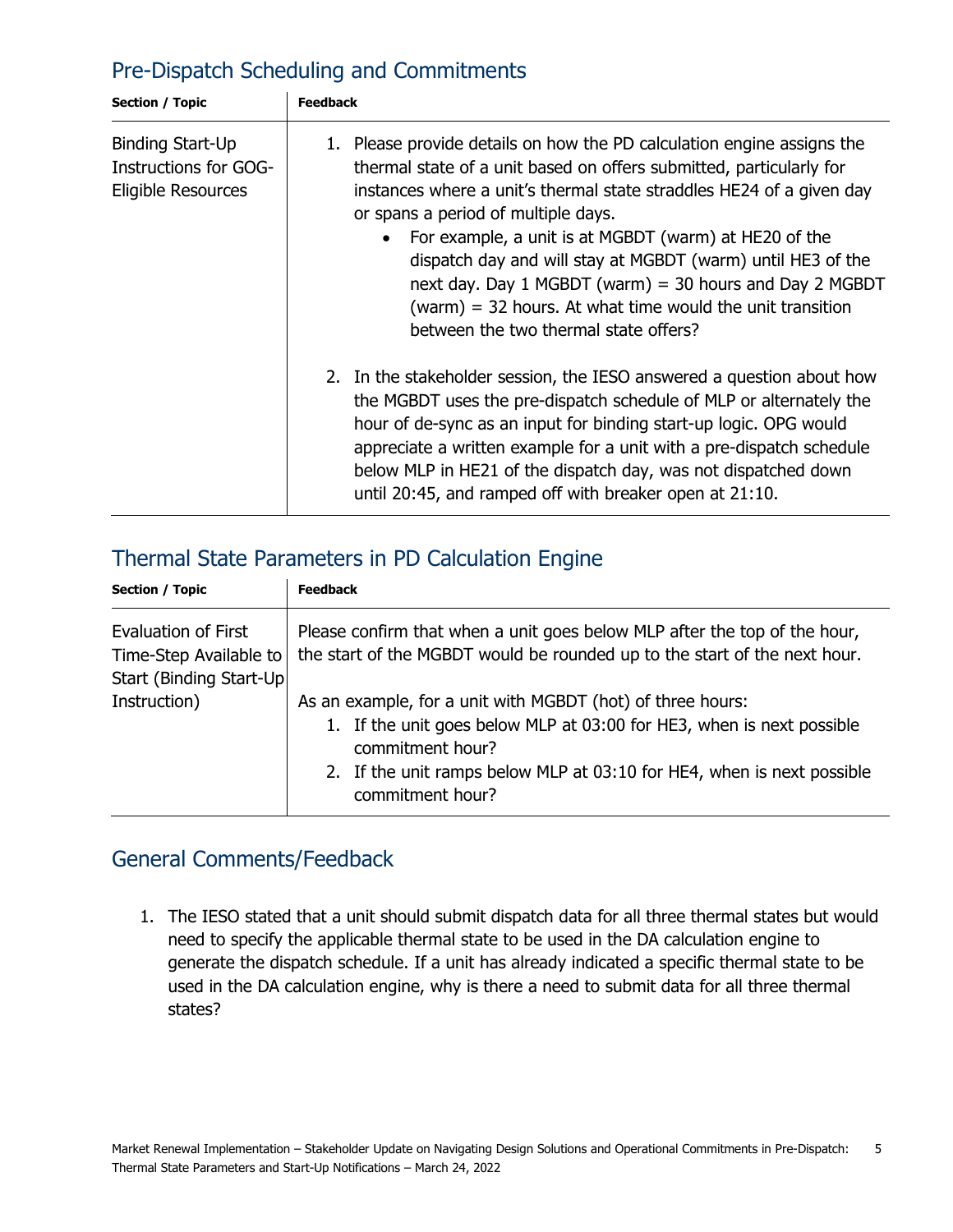# Pre-Dispatch Scheduling and Commitments

| Section / Topic                                                 | <b>Feedback</b>                                                                                                                                                                                                                                                                                                                                                                                                                                                                                                                                                    |
|-----------------------------------------------------------------|--------------------------------------------------------------------------------------------------------------------------------------------------------------------------------------------------------------------------------------------------------------------------------------------------------------------------------------------------------------------------------------------------------------------------------------------------------------------------------------------------------------------------------------------------------------------|
| Binding Start-Up<br>Instructions for GOG-<br>Eligible Resources | 1. Please provide details on how the PD calculation engine assigns the<br>thermal state of a unit based on offers submitted, particularly for<br>instances where a unit's thermal state straddles HE24 of a given day<br>or spans a period of multiple days.<br>For example, a unit is at MGBDT (warm) at HE20 of the<br>$\bullet$<br>dispatch day and will stay at MGBDT (warm) until HE3 of the<br>next day. Day 1 MGBDT (warm) = 30 hours and Day 2 MGBDT<br>(warm) = 32 hours. At what time would the unit transition<br>between the two thermal state offers? |
|                                                                 | 2. In the stakeholder session, the IESO answered a question about how<br>the MGBDT uses the pre-dispatch schedule of MLP or alternately the<br>hour of de-sync as an input for binding start-up logic. OPG would<br>appreciate a written example for a unit with a pre-dispatch schedule<br>below MLP in HE21 of the dispatch day, was not dispatched down<br>until 20:45, and ramped off with breaker open at 21:10.                                                                                                                                              |

# Thermal State Parameters in PD Calculation Engine

| <b>Section / Topic</b>                                                           | <b>Feedback</b>                                                                                                                                                                                                                                       |
|----------------------------------------------------------------------------------|-------------------------------------------------------------------------------------------------------------------------------------------------------------------------------------------------------------------------------------------------------|
| <b>Evaluation of First</b><br>Time-Step Available to<br>Start (Binding Start-Up) | Please confirm that when a unit goes below MLP after the top of the hour,<br>the start of the MGBDT would be rounded up to the start of the next hour.                                                                                                |
| Instruction)                                                                     | As an example, for a unit with MGBDT (hot) of three hours:<br>1. If the unit goes below MLP at 03:00 for HE3, when is next possible<br>commitment hour?<br>2. If the unit ramps below MLP at 03:10 for HE4, when is next possible<br>commitment hour? |

## General Comments/Feedback

 1. The IESO stated that a unit should submit dispatch data for all three thermal states but would need to specify the applicable thermal state to be used in the DA calculation engine to generate the dispatch schedule. If a unit has already indicated a specific thermal state to be used in the DA calculation engine, why is there a need to submit data for all three thermal states?